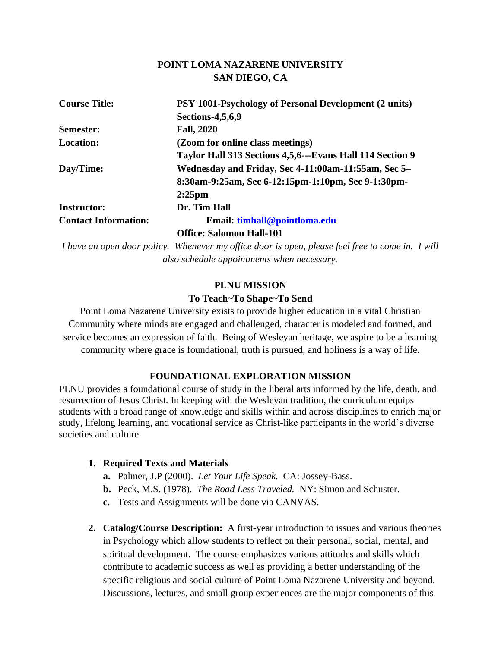### **POINT LOMA NAZARENE UNIVERSITY SAN DIEGO, CA**

| <b>Course Title:</b>        | PSY 1001-Psychology of Personal Development (2 units)     |  |
|-----------------------------|-----------------------------------------------------------|--|
|                             | <b>Sections-4,5,6,9</b>                                   |  |
| <b>Semester:</b>            | <b>Fall, 2020</b>                                         |  |
| <b>Location:</b>            | (Zoom for online class meetings)                          |  |
|                             | Taylor Hall 313 Sections 4,5,6---Evans Hall 114 Section 9 |  |
| Day/Time:                   | Wednesday and Friday, Sec 4-11:00am-11:55am, Sec 5–       |  |
|                             | 8:30am-9:25am, Sec 6-12:15pm-1:10pm, Sec 9-1:30pm-        |  |
|                             | $2:25$ pm                                                 |  |
| <b>Instructor:</b>          | Dr. Tim Hall                                              |  |
| <b>Contact Information:</b> | Email: timhall@pointloma.edu                              |  |
|                             | <b>Office: Salomon Hall-101</b>                           |  |

*I have an open door policy. Whenever my office door is open, please feel free to come in. I will also schedule appointments when necessary.*

# **PLNU MISSION To Teach~To Shape~To Send**

Point Loma Nazarene University exists to provide higher education in a vital Christian Community where minds are engaged and challenged, character is modeled and formed, and service becomes an expression of faith. Being of Wesleyan heritage, we aspire to be a learning community where grace is foundational, truth is pursued, and holiness is a way of life.

### **FOUNDATIONAL EXPLORATION MISSION**

PLNU provides a foundational course of study in the liberal arts informed by the life, death, and resurrection of Jesus Christ. In keeping with the Wesleyan tradition, the curriculum equips students with a broad range of knowledge and skills within and across disciplines to enrich major study, lifelong learning, and vocational service as Christ-like participants in the world's diverse societies and culture.

### **1. Required Texts and Materials**

- **a.** Palmer, J.P (2000). *Let Your Life Speak.* CA: Jossey-Bass.
- **b.** Peck, M.S. (1978). *The Road Less Traveled.* NY: Simon and Schuster.
- **c.** Tests and Assignments will be done via CANVAS.
- **2. Catalog/Course Description:** A first-year introduction to issues and various theories in Psychology which allow students to reflect on their personal, social, mental, and spiritual development. The course emphasizes various attitudes and skills which contribute to academic success as well as providing a better understanding of the specific religious and social culture of Point Loma Nazarene University and beyond. Discussions, lectures, and small group experiences are the major components of this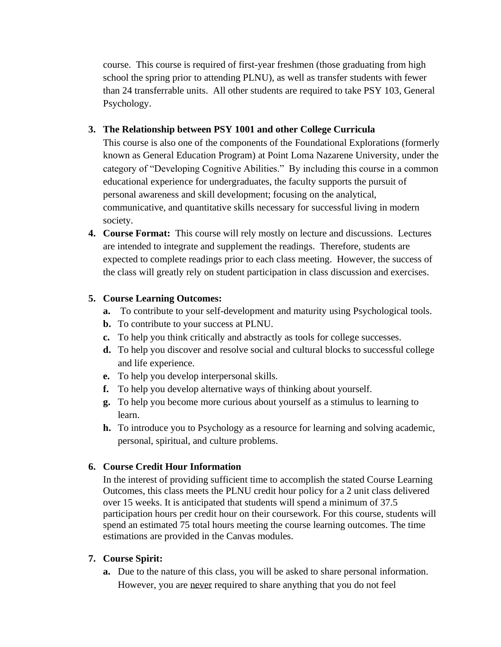course. This course is required of first-year freshmen (those graduating from high school the spring prior to attending PLNU), as well as transfer students with fewer than 24 transferrable units. All other students are required to take PSY 103, General Psychology.

## **3. The Relationship between PSY 1001 and other College Curricula**

This course is also one of the components of the Foundational Explorations (formerly known as General Education Program) at Point Loma Nazarene University, under the category of "Developing Cognitive Abilities." By including this course in a common educational experience for undergraduates, the faculty supports the pursuit of personal awareness and skill development; focusing on the analytical, communicative, and quantitative skills necessary for successful living in modern society.

**4. Course Format:** This course will rely mostly on lecture and discussions. Lectures are intended to integrate and supplement the readings. Therefore, students are expected to complete readings prior to each class meeting. However, the success of the class will greatly rely on student participation in class discussion and exercises.

## **5. Course Learning Outcomes:**

- **a.** To contribute to your self-development and maturity using Psychological tools.
- **b.** To contribute to your success at PLNU.
- **c.** To help you think critically and abstractly as tools for college successes.
- **d.** To help you discover and resolve social and cultural blocks to successful college and life experience.
- **e.** To help you develop interpersonal skills.
- **f.** To help you develop alternative ways of thinking about yourself.
- **g.** To help you become more curious about yourself as a stimulus to learning to learn.
- **h.** To introduce you to Psychology as a resource for learning and solving academic, personal, spiritual, and culture problems.

# **6. Course Credit Hour Information**

In the interest of providing sufficient time to accomplish the stated Course Learning Outcomes, this class meets the PLNU credit hour policy for a 2 unit class delivered over 15 weeks. It is anticipated that students will spend a minimum of 37.5 participation hours per credit hour on their coursework. For this course, students will spend an estimated 75 total hours meeting the course learning outcomes. The time estimations are provided in the Canvas modules.

### **7. Course Spirit:**

**a.** Due to the nature of this class, you will be asked to share personal information. However, you are never required to share anything that you do not feel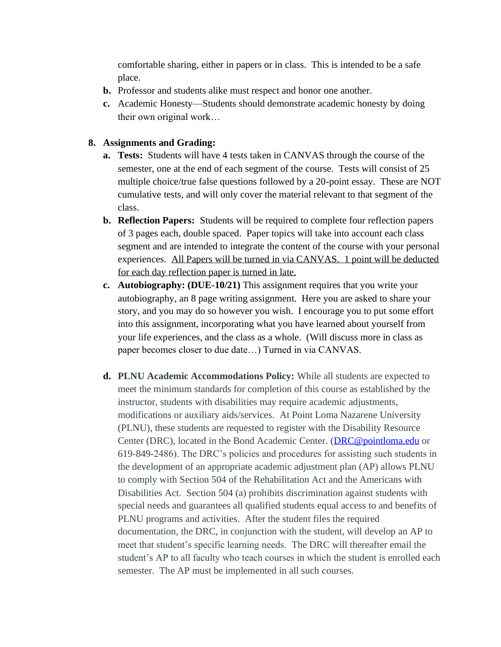comfortable sharing, either in papers or in class. This is intended to be a safe place.

- **b.** Professor and students alike must respect and honor one another.
- **c.** Academic Honesty—Students should demonstrate academic honesty by doing their own original work…

### **8. Assignments and Grading:**

- **a. Tests:** Students will have 4 tests taken in CANVAS through the course of the semester, one at the end of each segment of the course. Tests will consist of 25 multiple choice/true false questions followed by a 20-point essay. These are NOT cumulative tests, and will only cover the material relevant to that segment of the class.
- **b. Reflection Papers:** Students will be required to complete four reflection papers of 3 pages each, double spaced. Paper topics will take into account each class segment and are intended to integrate the content of the course with your personal experiences. All Papers will be turned in via CANVAS. 1 point will be deducted for each day reflection paper is turned in late.
- **c. Autobiography: (DUE-10/21)** This assignment requires that you write your autobiography, an 8 page writing assignment. Here you are asked to share your story, and you may do so however you wish. I encourage you to put some effort into this assignment, incorporating what you have learned about yourself from your life experiences, and the class as a whole. (Will discuss more in class as paper becomes closer to due date…) Turned in via CANVAS.
- **d. PLNU Academic Accommodations Policy:** While all students are expected to meet the minimum standards for completion of this course as established by the instructor, students with disabilities may require academic adjustments, modifications or auxiliary aids/services. At Point Loma Nazarene University (PLNU), these students are requested to register with the Disability Resource Center (DRC), located in the Bond Academic Center. [\(DRC@pointloma.edu](mailto:DRC@pointloma.edu) or 619-849-2486). The DRC's policies and procedures for assisting such students in the development of an appropriate academic adjustment plan (AP) allows PLNU to comply with Section 504 of the Rehabilitation Act and the Americans with Disabilities Act. Section 504 (a) prohibits discrimination against students with special needs and guarantees all qualified students equal access to and benefits of PLNU programs and activities. After the student files the required documentation, the DRC, in conjunction with the student, will develop an AP to meet that student's specific learning needs. The DRC will thereafter email the student's AP to all faculty who teach courses in which the student is enrolled each semester. The AP must be implemented in all such courses.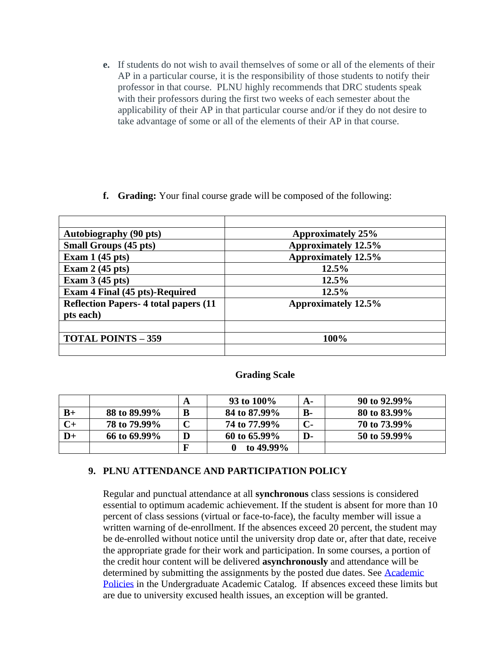- **e.** If students do not wish to avail themselves of some or all of the elements of their AP in a particular course, it is the responsibility of those students to notify their professor in that course. PLNU highly recommends that DRC students speak with their professors during the first two weeks of each semester about the applicability of their AP in that particular course and/or if they do not desire to take advantage of some or all of the elements of their AP in that course.
- **f. Grading:** Your final course grade will be composed of the following:

| <b>Autobiography (90 pts)</b>                | <b>Approximately 25%</b>   |
|----------------------------------------------|----------------------------|
| <b>Small Groups (45 pts)</b>                 | <b>Approximately 12.5%</b> |
| Exam $1(45 \text{ pts})$                     | <b>Approximately 12.5%</b> |
| Exam $2(45 \text{ pts})$                     | 12.5%                      |
| Exam $3(45 \text{ pts})$                     | 12.5%                      |
| <b>Exam 4 Final (45 pts)-Required</b>        | 12.5%                      |
| <b>Reflection Papers-4 total papers (11)</b> | <b>Approximately 12.5%</b> |
| pts each)                                    |                            |
|                                              |                            |
| <b>TOTAL POINTS - 359</b>                    | 100%                       |
|                                              |                            |

### **Grading Scale**

|      |              | A | 93 to 100%   | А-        | 90 to 92.99% |
|------|--------------|---|--------------|-----------|--------------|
| $B+$ | 88 to 89.99% | B | 84 to 87.99% | <b>B-</b> | 80 to 83.99% |
| $C+$ | 78 to 79.99% |   | 74 to 77.99% | С-        | 70 to 73.99% |
| D+   | 66 to 69.99% | D | 60 to 65.99% | D-        | 50 to 59.99% |
|      |              | F | to $49.99\%$ |           |              |

### **9. PLNU ATTENDANCE AND PARTICIPATION POLICY**

Regular and punctual attendance at all **synchronous** class sessions is considered essential to optimum academic achievement. If the student is absent for more than 10 percent of class sessions (virtual or face-to-face), the faculty member will issue a written warning of de-enrollment. If the absences exceed 20 percent, the student may be de-enrolled without notice until the university drop date or, after that date, receive the appropriate grade for their work and participation. In some courses, a portion of the credit hour content will be delivered **asynchronously** and attendance will be determined by submitting the assignments by the posted due dates. See [Academic](https://catalog.pointloma.edu/content.php?catoid=46&navoid=2650#Class_Attendance)  [Policies](https://catalog.pointloma.edu/content.php?catoid=46&navoid=2650#Class_Attendance) in the Undergraduate Academic Catalog. If absences exceed these limits but are due to university excused health issues, an exception will be granted.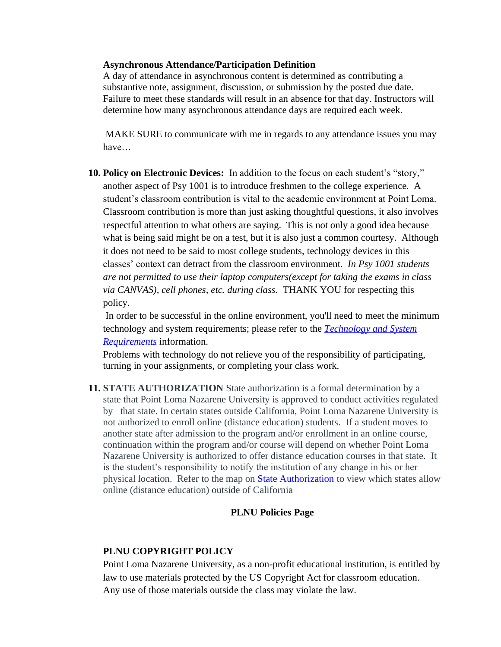#### **Asynchronous Attendance/Participation Definition**

A day of attendance in asynchronous content is determined as contributing a substantive note, assignment, discussion, or submission by the posted due date. Failure to meet these standards will result in an absence for that day. Instructors will determine how many asynchronous attendance days are required each week.

MAKE SURE to communicate with me in regards to any attendance issues you may have…

**10. Policy on Electronic Devices:** In addition to the focus on each student's "story," another aspect of Psy 1001 is to introduce freshmen to the college experience. A student's classroom contribution is vital to the academic environment at Point Loma. Classroom contribution is more than just asking thoughtful questions, it also involves respectful attention to what others are saying. This is not only a good idea because what is being said might be on a test, but it is also just a common courtesy. Although it does not need to be said to most college students, technology devices in this classes' context can detract from the classroom environment. *In Psy 1001 students are not permitted to use their laptop computers(except for taking the exams in class via CANVAS), cell phones, etc. during class.* THANK YOU for respecting this policy.

In order to be successful in the online environment, you'll need to meet the minimum technology and system requirements; please refer to the *[Technology and System](https://help.pointloma.edu/TDClient/1808/Portal/KB/ArticleDet?ID=108349)  [Requirements](https://help.pointloma.edu/TDClient/1808/Portal/KB/ArticleDet?ID=108349)* information.

Problems with technology do not relieve you of the responsibility of participating, turning in your assignments, or completing your class work.

**11. STATE AUTHORIZATION** State authorization is a formal determination by a state that Point Loma Nazarene University is approved to conduct activities regulated by that state. In certain states outside California, Point Loma Nazarene University is not authorized to enroll online (distance education) students. If a student moves to another state after admission to the program and/or enrollment in an online course, continuation within the program and/or course will depend on whether Point Loma Nazarene University is authorized to offer distance education courses in that state. It is the student's responsibility to notify the institution of any change in his or her physical location. Refer to the map on [State Authorization](https://www.pointloma.edu/offices/office-institutional-effectiveness-research/disclosures) to view which states allow online (distance education) outside of California

### **PLNU Policies Page**

### **PLNU COPYRIGHT POLICY**

Point Loma Nazarene University, as a non-profit educational institution, is entitled by law to use materials protected by the US Copyright Act for classroom education. Any use of those materials outside the class may violate the law.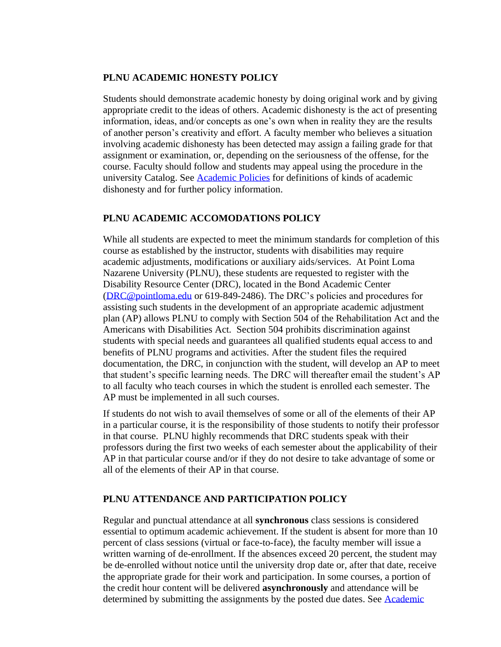### **PLNU ACADEMIC HONESTY POLICY**

Students should demonstrate academic honesty by doing original work and by giving appropriate credit to the ideas of others. Academic dishonesty is the act of presenting information, ideas, and/or concepts as one's own when in reality they are the results of another person's creativity and effort. A faculty member who believes a situation involving academic dishonesty has been detected may assign a failing grade for that assignment or examination, or, depending on the seriousness of the offense, for the course. Faculty should follow and students may appeal using the procedure in the university Catalog. See [Academic Policies](https://catalog.pointloma.edu/content.php?catoid=41&navoid=2435#Academic_Honesty) for definitions of kinds of academic dishonesty and for further policy information.

### **PLNU ACADEMIC ACCOMODATIONS POLICY**

While all students are expected to meet the minimum standards for completion of this course as established by the instructor, students with disabilities may require academic adjustments, modifications or auxiliary aids/services. At Point Loma Nazarene University (PLNU), these students are requested to register with the Disability Resource Center (DRC), located in the Bond Academic Center [\(DRC@pointloma.edu](mailto:DRC@pointloma.edu) or 619-849-2486). The DRC's policies and procedures for assisting such students in the development of an appropriate academic adjustment plan (AP) allows PLNU to comply with Section 504 of the Rehabilitation Act and the Americans with Disabilities Act. Section 504 prohibits discrimination against students with special needs and guarantees all qualified students equal access to and benefits of PLNU programs and activities. After the student files the required documentation, the DRC, in conjunction with the student, will develop an AP to meet that student's specific learning needs. The DRC will thereafter email the student's AP to all faculty who teach courses in which the student is enrolled each semester. The AP must be implemented in all such courses.

If students do not wish to avail themselves of some or all of the elements of their AP in a particular course, it is the responsibility of those students to notify their professor in that course. PLNU highly recommends that DRC students speak with their professors during the first two weeks of each semester about the applicability of their AP in that particular course and/or if they do not desire to take advantage of some or all of the elements of their AP in that course.

### **PLNU ATTENDANCE AND PARTICIPATION POLICY**

Regular and punctual attendance at all **synchronous** class sessions is considered essential to optimum academic achievement. If the student is absent for more than 10 percent of class sessions (virtual or face-to-face), the faculty member will issue a written warning of de-enrollment. If the absences exceed 20 percent, the student may be de-enrolled without notice until the university drop date or, after that date, receive the appropriate grade for their work and participation. In some courses, a portion of the credit hour content will be delivered **asynchronously** and attendance will be determined by submitting the assignments by the posted due dates. See [Academic](https://catalog.pointloma.edu/content.php?catoid=46&navoid=2650#Class_Attendance)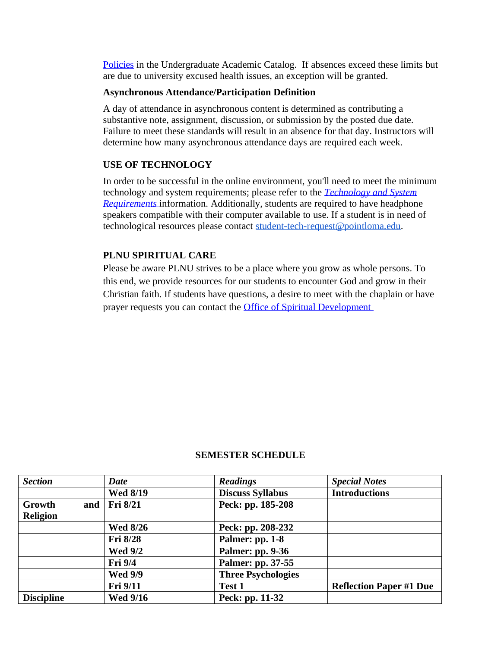[Policies](https://catalog.pointloma.edu/content.php?catoid=46&navoid=2650#Class_Attendance) in the Undergraduate Academic Catalog. If absences exceed these limits but are due to university excused health issues, an exception will be granted.

#### **Asynchronous Attendance/Participation Definition**

A day of attendance in asynchronous content is determined as contributing a substantive note, assignment, discussion, or submission by the posted due date. Failure to meet these standards will result in an absence for that day. Instructors will determine how many asynchronous attendance days are required each week.

### **USE OF TECHNOLOGY**

In order to be successful in the online environment, you'll need to meet the minimum technology and system requirements; please refer to the *[Technology and System](https://help.pointloma.edu/TDClient/1808/Portal/KB/ArticleDet?ID=108349)  [Requirements](https://help.pointloma.edu/TDClient/1808/Portal/KB/ArticleDet?ID=108349)* information. Additionally, students are required to have headphone speakers compatible with their computer available to use. If a student is in need of technological resources please contact [student-tech-request@pointloma.edu.](mailto:student-tech-request@pointloma.edu)

### **PLNU SPIRITUAL CARE**

Please be aware PLNU strives to be a place where you grow as whole persons. To this end, we provide resources for our students to encounter God and grow in their Christian faith. If students have questions, a desire to meet with the chaplain or have prayer requests you can contact the [Office of Spiritual Development](https://www.pointloma.edu/offices/spiritual-development)

| <b>Section</b>            | <b>Date</b>     | <b>Readings</b>           | <b>Special Notes</b>           |
|---------------------------|-----------------|---------------------------|--------------------------------|
|                           | <b>Wed 8/19</b> | <b>Discuss Syllabus</b>   | <b>Introductions</b>           |
| Growth<br>and<br>Religion | <b>Fri 8/21</b> | Peck: pp. 185-208         |                                |
|                           | <b>Wed 8/26</b> | Peck: pp. 208-232         |                                |
|                           | <b>Fri 8/28</b> | Palmer: pp. 1-8           |                                |
|                           | <b>Wed 9/2</b>  | <b>Palmer: pp. 9-36</b>   |                                |
|                           | Fri 9/4         | Palmer: pp. 37-55         |                                |
|                           | <b>Wed 9/9</b>  | <b>Three Psychologies</b> |                                |
|                           | <b>Fri</b> 9/11 | <b>Test 1</b>             | <b>Reflection Paper #1 Due</b> |
| <b>Discipline</b>         | <b>Wed 9/16</b> | Peck: pp. 11-32           |                                |

#### **SEMESTER SCHEDULE**